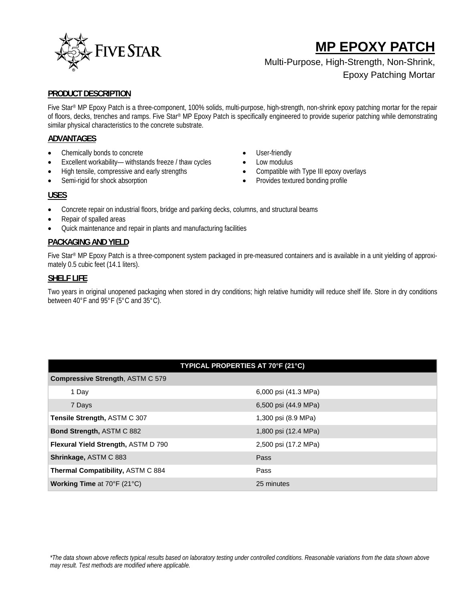

# **MP EPOXY PATCH**

# Multi-Purpose, High-Strength, Non-Shrink,

Epoxy Patching Mortar

## **PRODUCT DESCRIPTION**

Five Star® MP Epoxy Patch is a three-component, 100% solids, multi-purpose, high-strength, non-shrink epoxy patching mortar for the repair of floors, decks, trenches and ramps. Five Star® MP Epoxy Patch is specifically engineered to provide superior patching while demonstrating similar physical characteristics to the concrete substrate.

## **ADVANTAGES**

- Chemically bonds to concrete
- Excellent workability— withstands freeze / thaw cycles
- High tensile, compressive and early strengths
- Semi-rigid for shock absorption
- User-friendly
- Low modulus
- Compatible with Type III epoxy overlays
- Provides textured bonding profile

## **USES**

- Concrete repair on industrial floors, bridge and parking decks, columns, and structural beams
- Repair of spalled areas
- Quick maintenance and repair in plants and manufacturing facilities

## **PACKAGING AND YIELD**

Five Star® MP Epoxy Patch is a three-component system packaged in pre-measured containers and is available in a unit yielding of approximately 0.5 cubic feet (14.1 liters).

#### **SHELF LIFE**

Two years in original unopened packaging when stored in dry conditions; high relative humidity will reduce shelf life. Store in dry conditions between 40°F and 95°F (5°C and 35°C).

#### **TYPICAL PROPERTIES AT 70°F (21°C)**

| <b>Compressive Strength, ASTM C 579</b>    |                      |
|--------------------------------------------|----------------------|
| 1 Day                                      | 6,000 psi (41.3 MPa) |
| 7 Days                                     | 6,500 psi (44.9 MPa) |
| Tensile Strength, ASTM C 307               | 1,300 psi (8.9 MPa)  |
| <b>Bond Strength, ASTM C 882</b>           | 1,800 psi (12.4 MPa) |
| <b>Flexural Yield Strength, ASTM D 790</b> | 2,500 psi (17.2 MPa) |
| Shrinkage, ASTM C 883                      | Pass                 |
| <b>Thermal Compatibility, ASTM C 884</b>   | Pass                 |
| <b>Working Time at 70°F (21°C)</b>         | 25 minutes           |